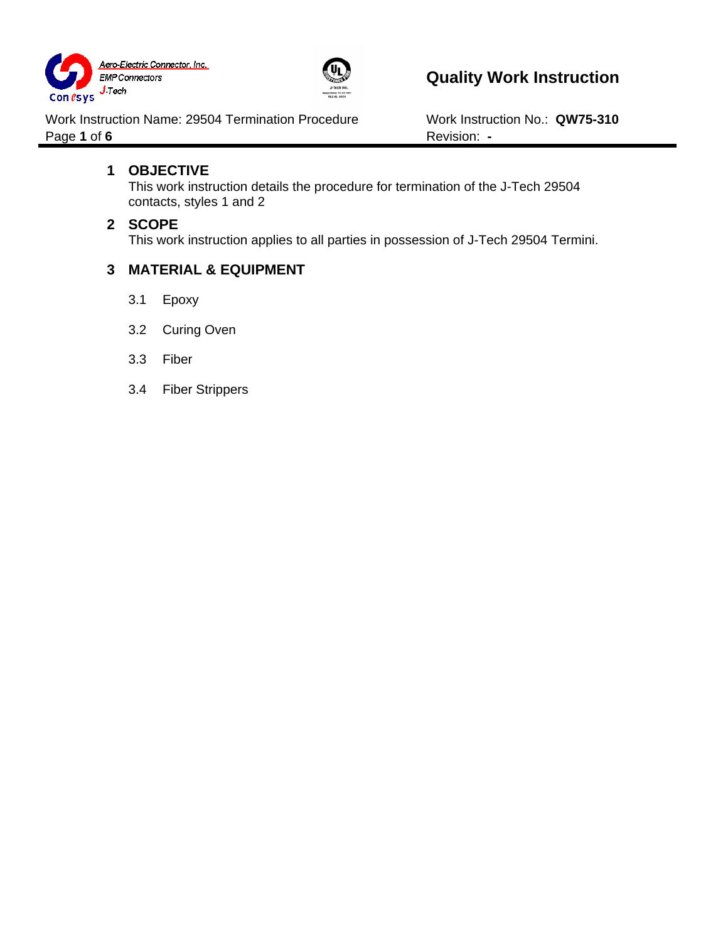



Work Instruction Name: 29504 Termination Procedure Work Instruction No.: QW75-310 Page 1 of 6 **Revision:** -

## **1 OBJECTIVE**

This work instruction details the procedure for termination of the J-Tech 29504 contacts, styles 1 and 2

### **2 SCOPE**

This work instruction applies to all parties in possession of J-Tech 29504 Termini.

## **3 MATERIAL & EQUIPMENT**

- 3.1 Epoxy
- 3.2 Curing Oven
- 3.3 Fiber
- 3.4 Fiber Strippers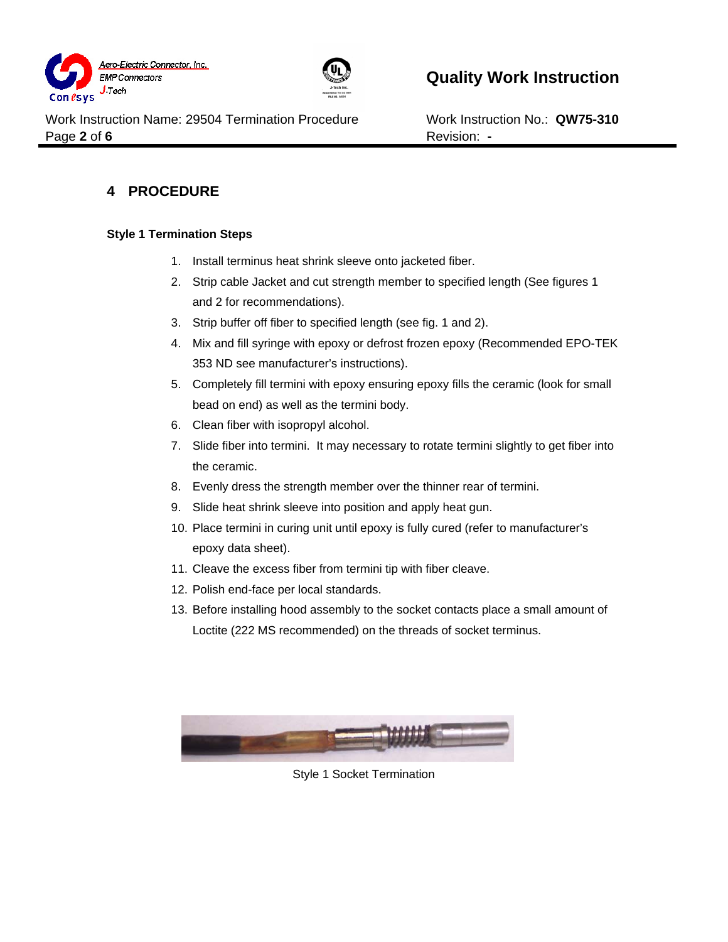



Work Instruction Name: 29504 Termination Procedure Work Instruction No.: QW75-310 Page 2 of 6 Revision: -

## **4 PROCEDURE**

#### **Style 1 Termination Steps**

- 1. Install terminus heat shrink sleeve onto jacketed fiber.
- 2. Strip cable Jacket and cut strength member to specified length (See figures 1 and 2 for recommendations).
- 3. Strip buffer off fiber to specified length (see fig. 1 and 2).
- 4. Mix and fill syringe with epoxy or defrost frozen epoxy (Recommended EPO-TEK 353 ND see manufacturer's instructions).
- 5. Completely fill termini with epoxy ensuring epoxy fills the ceramic (look for small bead on end) as well as the termini body.
- 6. Clean fiber with isopropyl alcohol.
- 7. Slide fiber into termini. It may necessary to rotate termini slightly to get fiber into the ceramic.
- 8. Evenly dress the strength member over the thinner rear of termini.
- 9. Slide heat shrink sleeve into position and apply heat gun.
- 10. Place termini in curing unit until epoxy is fully cured (refer to manufacturer's epoxy data sheet).
- 11. Cleave the excess fiber from termini tip with fiber cleave.
- 12. Polish end-face per local standards.
- 13. Before installing hood assembly to the socket contacts place a small amount of Loctite (222 MS recommended) on the threads of socket terminus.



Style 1 Socket Termination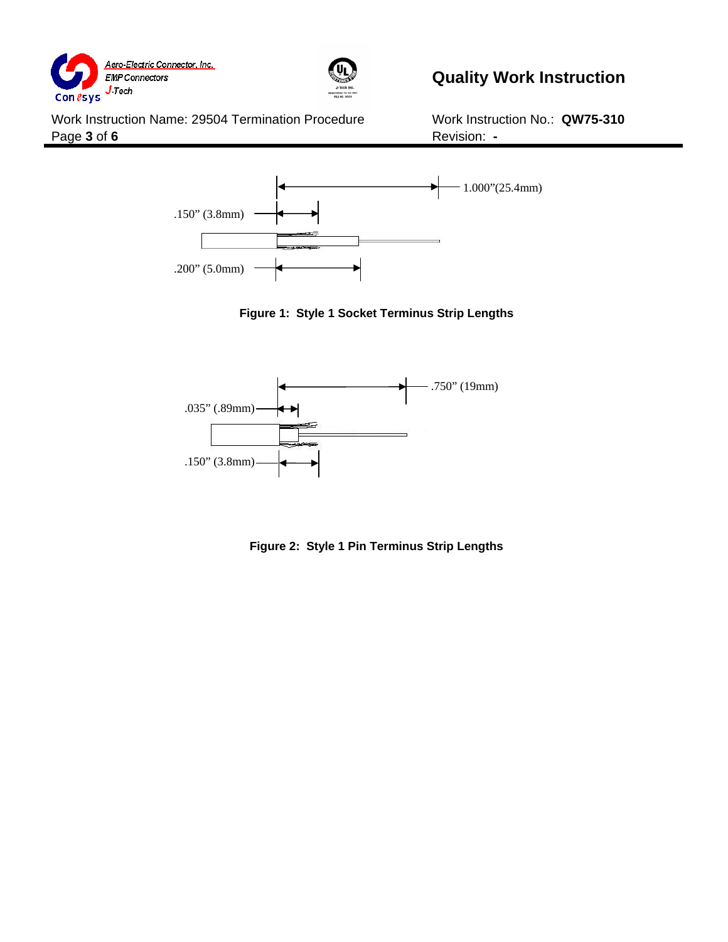



# **Quality Work Instruction**

Work Instruction Name: 29504 Termination Procedure Work Instruction No.: QW75-310 Page **3** of **6 Revision: -**







**Figure 2: Style 1 Pin Terminus Strip Lengths**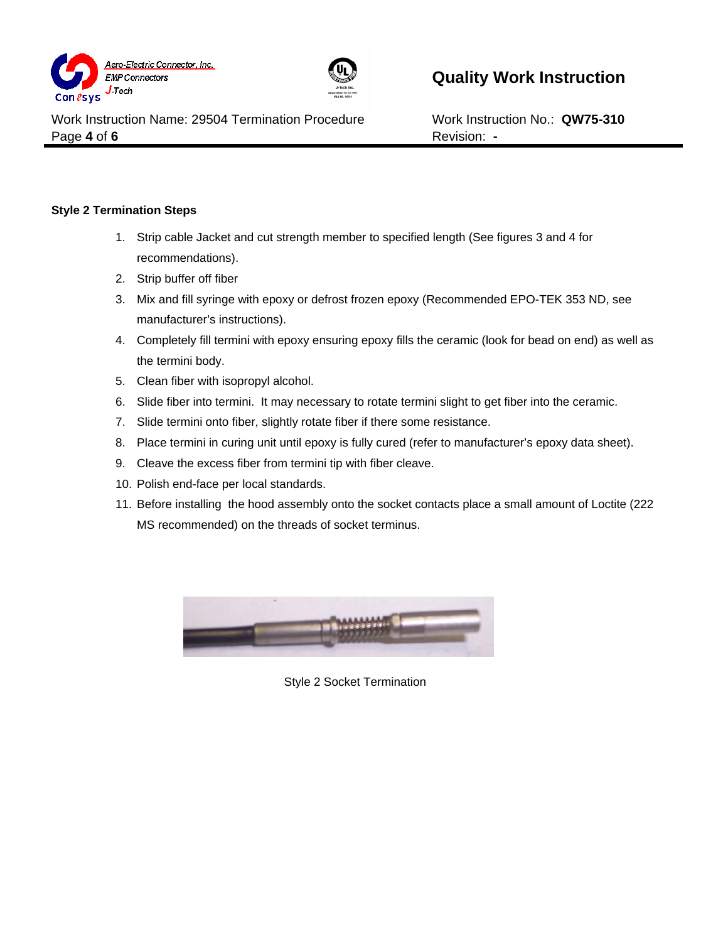



Work Instruction Name: 29504 Termination Procedure Work Instruction No.: **QW75-310** Page 4 of 6 Revision: -

#### **Style 2 Termination Steps**

- 1. Strip cable Jacket and cut strength member to specified length (See figures 3 and 4 for recommendations).
- 2. Strip buffer off fiber
- 3. Mix and fill syringe with epoxy or defrost frozen epoxy (Recommended EPO-TEK 353 ND, see manufacturer's instructions).
- 4. Completely fill termini with epoxy ensuring epoxy fills the ceramic (look for bead on end) as well as the termini body.
- 5. Clean fiber with isopropyl alcohol.
- 6. Slide fiber into termini. It may necessary to rotate termini slight to get fiber into the ceramic.
- 7. Slide termini onto fiber, slightly rotate fiber if there some resistance.
- 8. Place termini in curing unit until epoxy is fully cured (refer to manufacturer's epoxy data sheet).
- 9. Cleave the excess fiber from termini tip with fiber cleave.
- 10. Polish end-face per local standards.
- 11. Before installing the hood assembly onto the socket contacts place a small amount of Loctite (222 MS recommended) on the threads of socket terminus.



Style 2 Socket Termination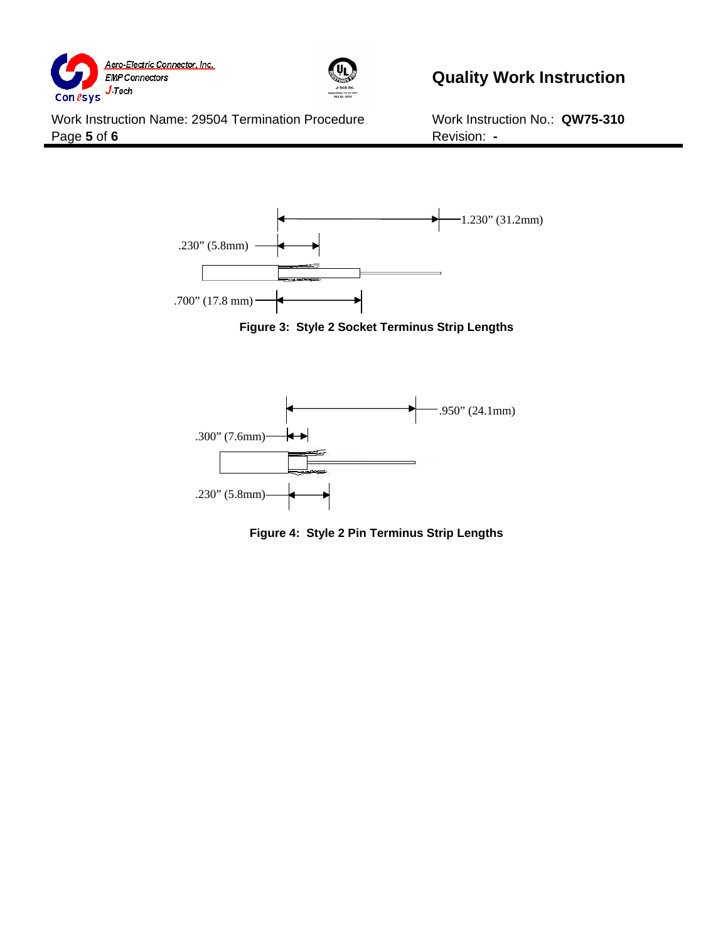



Work Instruction Name: 29504 Termination Procedure Work Instruction No.: QW75-310 Page **5** of **6** Revision: **-**



**Figure 3: Style 2 Socket Terminus Strip Lengths** 



**Figure 4: Style 2 Pin Terminus Strip Lengths**